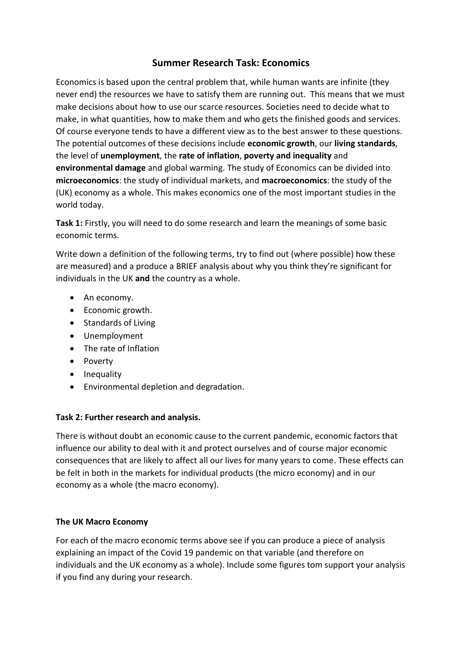# **Summer Research Task: Economics**

Economics is based upon the central problem that, while human wants are infinite (they never end) the resources we have to satisfy them are running out. This means that we must make decisions about how to use our scarce resources. Societies need to decide what to make, in what quantities, how to make them and who gets the finished goods and services. Of course everyone tends to have a different view as to the best answer to these questions. The potential outcomes of these decisions include **economic growth**, our **living standards**, the level of **unemployment**, the **rate of inflation**, **poverty and inequality** and **environmental damage** and global warming. The study of Economics can be divided into **microeconomics**: the study of individual markets, and **macroeconomics**: the study of the (UK) economy as a whole. This makes economics one of the most important studies in the world today.

**Task 1:** Firstly, you will need to do some research and learn the meanings of some basic economic terms.

Write down a definition of the following terms, try to find out (where possible) how these are measured) and a produce a BRIEF analysis about why you think they're significant for individuals in the UK **and** the country as a whole.

- An economy.
- Economic growth.
- Standards of Living
- Unemployment
- The rate of Inflation
- Poverty
- Inequality
- Environmental depletion and degradation.

# **Task 2: Further research and analysis.**

There is without doubt an economic cause to the current pandemic, economic factors that influence our ability to deal with it and protect ourselves and of course major economic consequences that are likely to affect all our lives for many years to come. These effects can be felt in both in the markets for individual products (the micro economy) and in our economy as a whole (the macro economy).

# **The UK Macro Economy**

For each of the macro economic terms above see if you can produce a piece of analysis explaining an impact of the Covid 19 pandemic on that variable (and therefore on individuals and the UK economy as a whole). Include some figures tom support your analysis if you find any during your research.